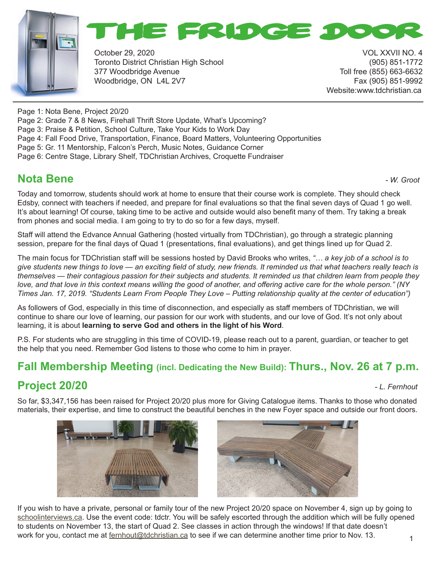



October 29, 2020 VOL XXVII NO. 4 Toronto District Christian High School (905) 851-1772 377 Woodbridge Avenue Toll free (855) 663-6632 Woodbridge, ON L4L 2V7 Fax (905) 851-9992

Website:www.tdchristian.ca

Page 1: Nota Bene, Project 20/20

Page 2: Grade 7 & 8 News, Firehall Thrift Store Update, What's Upcoming?

Page 3: Praise & Petition, School Culture, Take Your Kids to Work Day

Page 4: Fall Food Drive, Transportation, Finance, Board Matters, Volunteering Opportunities

Page 5: Gr. 11 Mentorship, Falcon's Perch, Music Notes, Guidance Corner

Page 6: Centre Stage, Library Shelf, TDChristian Archives, Croquette Fundraiser

# **Nota Bene** *- W. Groot*

Today and tomorrow, students should work at home to ensure that their course work is complete. They should check Edsby, connect with teachers if needed, and prepare for final evaluations so that the final seven days of Quad 1 go well. It's about learning! Of course, taking time to be active and outside would also benefit many of them. Try taking a break from phones and social media. I am going to try to do so for a few days, myself.

Staff will attend the Edvance Annual Gathering (hosted virtually from TDChristian), go through a strategic planning session, prepare for the final days of Quad 1 (presentations, final evaluations), and get things lined up for Quad 2.

The main focus for TDChristian staff will be sessions hosted by David Brooks who writes, *"… a key job of a school is to give students new things to love — an exciting field of study, new friends. It reminded us that what teachers really teach is themselves — their contagious passion for their subjects and students. It reminded us that children learn from people they love, and that love in this context means willing the good of another, and offering active care for the whole person." (NY Times Jan. 17, 2019. "Students Learn From People They Love – Putting relationship quality at the center of education")* 

As followers of God, especially in this time of disconnection, and especially as staff members of TDChristian, we will continue to share our love of learning, our passion for our work with students, and our love of God. It's not only about learning, it is about **learning to serve God and others in the light of his Word**.

P.S. For students who are struggling in this time of COVID-19, please reach out to a parent, guardian, or teacher to get the help that you need. Remember God listens to those who come to him in prayer.

#### **Fall Membership Meeting (incl. Dedicating the New Build): Thurs., Nov. 26 at 7 p.m.**

# **Project 20/20** *- L. Fernhout*

So far, \$3,347,156 has been raised for Project 20/20 plus more for Giving Catalogue items. Thanks to those who donated materials, their expertise, and time to construct the beautiful benches in the new Foyer space and outside our front doors.





1 If you wish to have a private, personal or family tour of the new Project 20/20 space on November 4, sign up by going to schoolinterviews.ca. Use the event code: tdctr. You will be safely escorted through the addition which will be fully opened to students on November 13, the start of Quad 2. See classes in action through the windows! If that date doesn't work for you, contact me at fernhout@tdchristian.ca to see if we can determine another time prior to Nov. 13.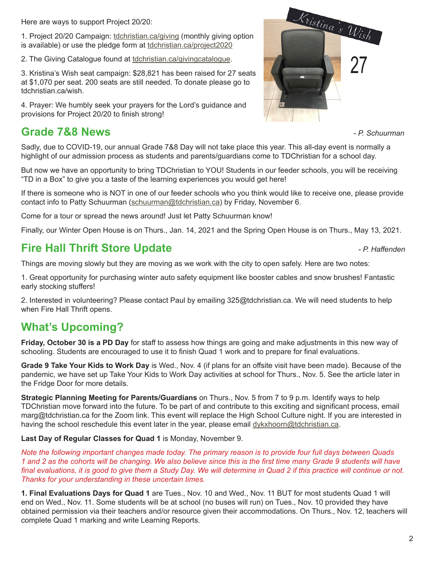Here are ways to support Project 20/20:

1. Project 20/20 Campaign: tdchristian.ca/giving (monthly giving option is available) or use the pledge form at tdchristian.ca/project2020

2. The Giving Catalogue found at tdchristian.ca/givingcatalogue.

3. Kristina's Wish seat campaign: \$28,821 has been raised for 27 seats at \$1,070 per seat. 200 seats are still needed. To donate please go to tdchristian.ca/wish.

4. Prayer: We humbly seek your prayers for the Lord's guidance and provisions for Project 20/20 to finish strong!

## **Grade 7&8 News** *- P. Schuurman*



Sadly, due to COVID-19, our annual Grade 7&8 Day will not take place this year. This all-day event is normally a highlight of our admission process as students and parents/guardians come to TDChristian for a school day.

But now we have an opportunity to bring TDChristian to YOU! Students in our feeder schools, you will be receiving "TD in a Box" to give you a taste of the learning experiences you would get here!

If there is someone who is NOT in one of our feeder schools who you think would like to receive one, please provide contact info to Patty Schuurman (schuurman@tdchristian.ca) by Friday, November 6.

Come for a tour or spread the news around! Just let Patty Schuurman know!

Finally, our Winter Open House is on Thurs., Jan. 14, 2021 and the Spring Open House is on Thurs., May 13, 2021.

#### **Fire Hall Thrift Store Update** *- P. Haffenden*

Things are moving slowly but they are moving as we work with the city to open safely. Here are two notes:

1. Great opportunity for purchasing winter auto safety equipment like booster cables and snow brushes! Fantastic early stocking stuffers!

2. Interested in volunteering? Please contact Paul by emailing 325@tdchristian.ca. We will need students to help when Fire Hall Thrift opens.

## **What's Upcoming?**

**Friday, October 30 is a PD Day** for staff to assess how things are going and make adjustments in this new way of schooling. Students are encouraged to use it to finish Quad 1 work and to prepare for final evaluations.

**Grade 9 Take Your Kids to Work Day** is Wed., Nov. 4 (if plans for an offsite visit have been made). Because of the pandemic, we have set up Take Your Kids to Work Day activities at school for Thurs., Nov. 5. See the article later in the Fridge Door for more details.

**Strategic Planning Meeting for Parents/Guardians** on Thurs., Nov. 5 from 7 to 9 p.m. Identify ways to help TDChristian move forward into the future. To be part of and contribute to this exciting and significant process, email marg@tdchristian.ca for the Zoom link. This event will replace the High School Culture night. If you are interested in having the school reschedule this event later in the year, please email dykxhoorn@tdchristian.ca.

**Last Day of Regular Classes for Quad 1** is Monday, November 9.

*Note the following important changes made today. The primary reason is to provide four full days between Quads 1 and 2 as the cohorts will be changing. We also believe since this is the first time many Grade 9 students will have final evaluations, it is good to give them a Study Day. We will determine in Quad 2 if this practice will continue or not. Thanks for your understanding in these uncertain times.*

**1. Final Evaluations Days for Quad 1** are Tues., Nov. 10 and Wed., Nov. 11 BUT for most students Quad 1 will end on Wed., Nov. 11. Some students will be at school (no buses will run) on Tues., Nov. 10 provided they have obtained permission via their teachers and/or resource given their accommodations. On Thurs., Nov. 12, teachers will complete Quad 1 marking and write Learning Reports.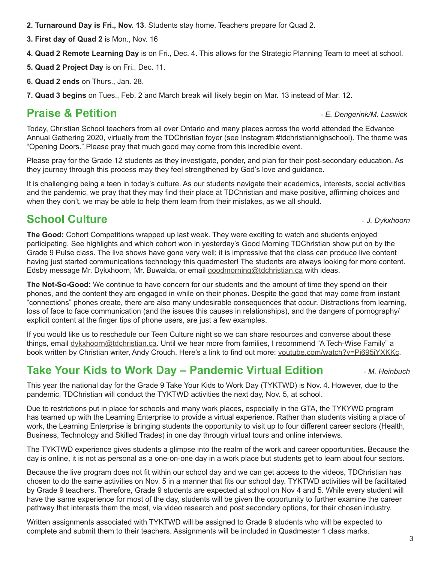**2. Turnaround Day is Fri., Nov. 13**. Students stay home. Teachers prepare for Quad 2.

**3. First day of Quad 2** is Mon., Nov. 16

**4. Quad 2 Remote Learning Day** is on Fri., Dec. 4. This allows for the Strategic Planning Team to meet at school.

**5. Quad 2 Project Day** is on Fri., Dec. 11.

**6. Quad 2 ends** on Thurs., Jan. 28.

**7. Quad 3 begins** on Tues., Feb. 2 and March break will likely begin on Mar. 13 instead of Mar. 12.

# **Praise & Petition** *- E. Dengerink/M. Laswick*

Today, Christian School teachers from all over Ontario and many places across the world attended the Edvance Annual Gathering 2020, virtually from the TDChristian foyer (see Instagram #tdchristianhighschool). The theme was "Opening Doors." Please pray that much good may come from this incredible event.

Please pray for the Grade 12 students as they investigate, ponder, and plan for their post-secondary education. As they journey through this process may they feel strengthened by God's love and guidance.

It is challenging being a teen in today's culture. As our students navigate their academics, interests, social activities and the pandemic, we pray that they may find their place at TDChristian and make positive, affirming choices and when they don't, we may be able to help them learn from their mistakes, as we all should.

# **School Culture -** *J. Dykxhoorn***</del>**

**The Good:** Cohort Competitions wrapped up last week. They were exciting to watch and students enjoyed participating. See highlights and which cohort won in yesterday's Good Morning TDChristian show put on by the Grade 9 Pulse class. The live shows have gone very well; it is impressive that the class can produce live content having just started communications technology this quadmester! The students are always looking for more content. Edsby message Mr. Dykxhoorn, Mr. Buwalda, or email goodmorning@tdchristian.ca with ideas.

**The Not-So-Good:** We continue to have concern for our students and the amount of time they spend on their phones, and the content they are engaged in while on their phones. Despite the good that may come from instant "connections" phones create, there are also many undesirable consequences that occur. Distractions from learning, loss of face to face communication (and the issues this causes in relationships), and the dangers of pornography/ explicit content at the finger tips of phone users, are just a few examples.

If you would like us to reschedule our Teen Culture night so we can share resources and converse about these things, email dykxhoorn@tdchristian.ca. Until we hear more from families, I recommend "A Tech-Wise Family" a book written by Christian writer, Andy Crouch. Here's a link to find out more: youtube.com/watch?v=Pi695iYXKKc.

# **Take Your Kids to Work Day – Pandemic Virtual Edition** *- M. Heinbuch*

This year the national day for the Grade 9 Take Your Kids to Work Day (TYKTWD) is Nov. 4. However, due to the pandemic, TDChristian will conduct the TYKTWD activities the next day, Nov. 5, at school.

Due to restrictions put in place for schools and many work places, especially in the GTA, the TYKYWD program has teamed up with the Learning Enterprise to provide a virtual experience. Rather than students visiting a place of work, the Learning Enterprise is bringing students the opportunity to visit up to four different career sectors (Health, Business, Technology and Skilled Trades) in one day through virtual tours and online interviews.

The TYKTWD experience gives students a glimpse into the realm of the work and career opportunities. Because the day is online, it is not as personal as a one-on-one day in a work place but students get to learn about four sectors.

Because the live program does not fit within our school day and we can get access to the videos, TDChristian has chosen to do the same activities on Nov. 5 in a manner that fits our school day. TYKTWD activities will be facilitated by Grade 9 teachers. Therefore, Grade 9 students are expected at school on Nov 4 and 5. While every student will have the same experience for most of the day, students will be given the opportunity to further examine the career pathway that interests them the most, via video research and post secondary options, for their chosen industry.

Written assignments associated with TYKTWD will be assigned to Grade 9 students who will be expected to complete and submit them to their teachers. Assignments will be included in Quadmester 1 class marks.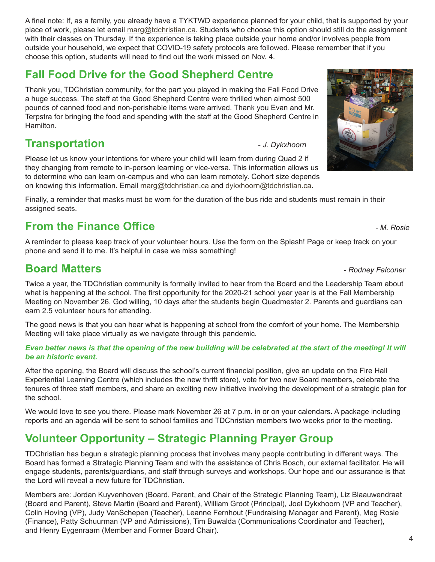A final note: If, as a family, you already have a TYKTWD experience planned for your child, that is supported by your place of work, please let email marg@tdchristian.ca. Students who choose this option should still do the assignment with their classes on Thursday. If the experience is taking place outside your home and/or involves people from outside your household, we expect that COVID-19 safety protocols are followed. Please remember that if you choose this option, students will need to find out the work missed on Nov. 4.

# **Fall Food Drive for the Good Shepherd Centre**

Thank you, TDChristian community, for the part you played in making the Fall Food Drive a huge success. The staff at the Good Shepherd Centre were thrilled when almost 500 pounds of canned food and non-perishable items were arrived. Thank you Evan and Mr. Terpstra for bringing the food and spending with the staff at the Good Shepherd Centre in Hamilton.

#### **Transportation 1. Dykxhoorn**

Please let us know your intentions for where your child will learn from during Quad 2 if they changing from remote to in-person learning or vice-versa. This information allows us to determine who can learn on-campus and who can learn remotely. Cohort size depends on knowing this information. Email marg@tdchristian.ca and dykxhoorn@tdchristian.ca.

Finally, a reminder that masks must be worn for the duration of the bus ride and students must remain in their assigned seats.

## **From the Finance Office** *COMPONER <b>FINALLY COMPONER FINALLY <i>M. Rosie*

A reminder to please keep track of your volunteer hours. Use the form on the Splash! Page or keep track on your phone and send it to me. It's helpful in case we miss something!

#### **Board Matters** *- Rodney Falconer*

Twice a year, the TDChristian community is formally invited to hear from the Board and the Leadership Team about what is happening at the school. The first opportunity for the 2020-21 school year year is at the Fall Membership Meeting on November 26, God willing, 10 days after the students begin Quadmester 2. Parents and guardians can earn 2.5 volunteer hours for attending.

The good news is that you can hear what is happening at school from the comfort of your home. The Membership Meeting will take place virtually as we navigate through this pandemic.

#### *Even better news is that the opening of the new building will be celebrated at the start of the meeting! It will be an historic event.*

After the opening, the Board will discuss the school's current financial position, give an update on the Fire Hall Experiential Learning Centre (which includes the new thrift store), vote for two new Board members, celebrate the tenures of three staff members, and share an exciting new initiative involving the development of a strategic plan for the school.

We would love to see you there. Please mark November 26 at 7 p.m. in or on your calendars. A package including reports and an agenda will be sent to school families and TDChristian members two weeks prior to the meeting.

## **Volunteer Opportunity – Strategic Planning Prayer Group**

TDChristian has begun a strategic planning process that involves many people contributing in different ways. The Board has formed a Strategic Planning Team and with the assistance of Chris Bosch, our external facilitator. He will engage students, parents/guardians, and staff through surveys and workshops. Our hope and our assurance is that the Lord will reveal a new future for TDChristian.

Members are: Jordan Kuyvenhoven (Board, Parent, and Chair of the Strategic Planning Team), Liz Blaauwendraat (Board and Parent), Steve Martin (Board and Parent), William Groot (Principal), Joel Dykxhoorn (VP and Teacher), Colin Hoving (VP), Judy VanSchepen (Teacher), Leanne Fernhout (Fundraising Manager and Parent), Meg Rosie (Finance), Patty Schuurman (VP and Admissions), Tim Buwalda (Communications Coordinator and Teacher), and Henry Eygenraam (Member and Former Board Chair).

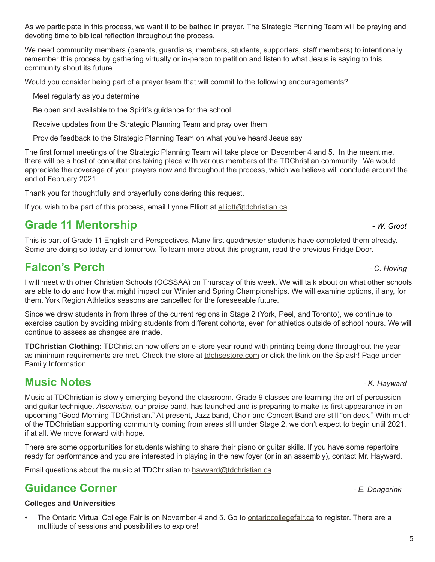As we participate in this process, we want it to be bathed in prayer. The Strategic Planning Team will be praying and devoting time to biblical reflection throughout the process.

We need community members (parents, guardians, members, students, supporters, staff members) to intentionally remember this process by gathering virtually or in-person to petition and listen to what Jesus is saying to this community about its future.

Would you consider being part of a prayer team that will commit to the following encouragements?

Meet regularly as you determine

Be open and available to the Spirit's guidance for the school

Receive updates from the Strategic Planning Team and pray over them

Provide feedback to the Strategic Planning Team on what you've heard Jesus say

The first formal meetings of the Strategic Planning Team will take place on December 4 and 5. In the meantime, there will be a host of consultations taking place with various members of the TDChristian community. We would appreciate the coverage of your prayers now and throughout the process, which we believe will conclude around the end of February 2021.

Thank you for thoughtfully and prayerfully considering this request.

If you wish to be part of this process, email Lynne Elliott at elliott@tdchristian.ca.

## **Grade 11 Mentorship Grade 11 Mentorship** *and a metal**Algoen**Algoen Algoen Algoen Algoen Algoen Algoen Algoen Algoen Algoen Algoen Algoen Algoen Algoen Algoen Algoen Algoen Algoen Algoen Algoen Algoen Algoen Algoen A*

This is part of Grade 11 English and Perspectives. Many first quadmester students have completed them already. Some are doing so today and tomorrow. To learn more about this program, read the previous Fridge Door.

## **Falcon's Perch** *- C. Hoving*

I will meet with other Christian Schools (OCSSAA) on Thursday of this week. We will talk about on what other schools are able to do and how that might impact our Winter and Spring Championships. We will examine options, if any, for them. York Region Athletics seasons are cancelled for the foreseeable future.

Since we draw students in from three of the current regions in Stage 2 (York, Peel, and Toronto), we continue to exercise caution by avoiding mixing students from different cohorts, even for athletics outside of school hours. We will continue to assess as changes are made.

**TDChristian Clothing:** TDChristian now offers an e-store year round with printing being done throughout the year as minimum requirements are met. Check the store at tdchsestore.com or click the link on the Splash! Page under Family Information.

#### **Music Notes** *- K. Hayward*

Music at TDChristian is slowly emerging beyond the classroom. Grade 9 classes are learning the art of percussion and guitar technique. *Ascension*, our praise band, has launched and is preparing to make its first appearance in an upcoming "Good Morning TDChristian." At present, Jazz band, Choir and Concert Band are still "on deck." With much of the TDChristian supporting community coming from areas still under Stage 2, we don't expect to begin until 2021, if at all. We move forward with hope.

There are some opportunities for students wishing to share their piano or guitar skills. If you have some repertoire ready for performance and you are interested in playing in the new foyer (or in an assembly), contact Mr. Hayward.

Email questions about the music at TDChristian to hayward@tdchristian.ca.

#### **Guidance Corner** *- E. Dengerink*

#### **Colleges and Universities**

• The Ontario Virtual College Fair is on November 4 and 5. Go to ontariocollegefair.ca to register. There are a multitude of sessions and possibilities to explore!